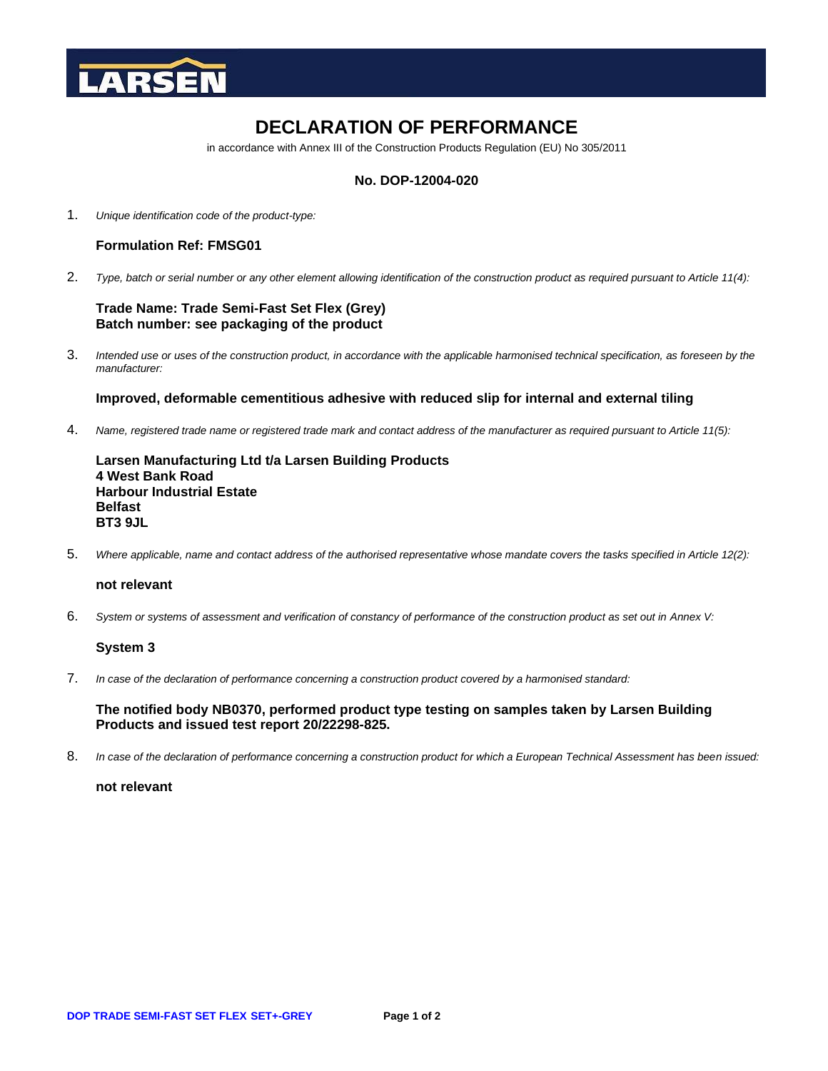

# **DECLARATION OF PERFORMANCE**

in accordance with Annex III of the Construction Products Regulation (EU) No 305/2011

## **No. DOP-12004-020**

1. *Unique identification code of the product-type:*

## **Formulation Ref: FMSG01**

2. *Type, batch or serial number or any other element allowing identification of the construction product as required pursuant to Article 11(4):*

## **Trade Name: Trade Semi-Fast Set Flex (Grey) Batch number: see packaging of the product**

3. *Intended use or uses of the construction product, in accordance with the applicable harmonised technical specification, as foreseen by the manufacturer:*

### **Improved, deformable cementitious adhesive with reduced slip for internal and external tiling**

4. *Name, registered trade name or registered trade mark and contact address of the manufacturer as required pursuant to Article 11(5):*

**Larsen Manufacturing Ltd t/a Larsen Building Products 4 West Bank Road Harbour Industrial Estate Belfast BT3 9JL**

5. *Where applicable, name and contact address of the authorised representative whose mandate covers the tasks specified in Article 12(2):*

## **not relevant**

6. *System or systems of assessment and verification of constancy of performance of the construction product as set out in Annex V:*

### **System 3**

7. *In case of the declaration of performance concerning a construction product covered by a harmonised standard:*

**The notified body NB0370, performed product type testing on samples taken by Larsen Building Products and issued test report 20/22298-825.**

8. *In case of the declaration of performance concerning a construction product for which a European Technical Assessment has been issued:*

**not relevant**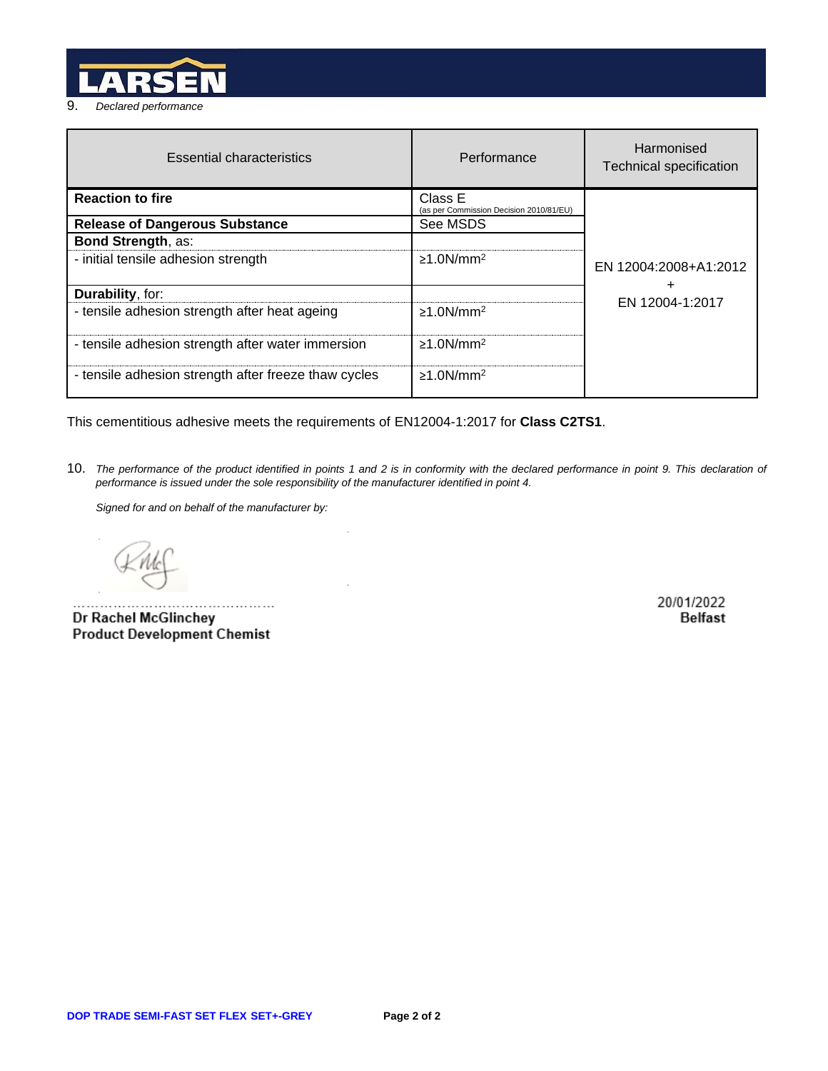

| <b>Essential characteristics</b>                     | Performance                                        | Harmonised<br><b>Technical specification</b> |
|------------------------------------------------------|----------------------------------------------------|----------------------------------------------|
| <b>Reaction to fire</b>                              | Class E<br>(as per Commission Decision 2010/81/EU) |                                              |
| <b>Release of Dangerous Substance</b>                | See MSDS                                           |                                              |
| <b>Bond Strength, as:</b>                            |                                                    |                                              |
| - initial tensile adhesion strength                  | $\geq$ 1.0N/mm <sup>2</sup>                        | EN 12004:2008+A1:2012                        |
| Durability, for:                                     |                                                    | +                                            |
| - tensile adhesion strength after heat ageing        | $\geq 1.0$ N/mm <sup>2</sup>                       | EN 12004-1:2017                              |
| - tensile adhesion strength after water immersion    | $\geq$ 1.0N/mm <sup>2</sup>                        |                                              |
| - tensile adhesion strength after freeze thaw cycles | $\geq 1.0$ N/mm <sup>2</sup>                       |                                              |

This cementitious adhesive meets the requirements of EN12004-1:2017 for **Class C2TS1**.

 $\overline{\phantom{a}}$ 

10. *The performance of the product identified in points 1 and 2 is in conformity with the declared performance in point 9. This declaration of performance is issued under the sole responsibility of the manufacturer identified in point 4.*

*Signed for and on behalf of the manufacturer by:*

Dr Rachel McGlinchey **Product Development Chemist** 

20/01/2022 **Belfast**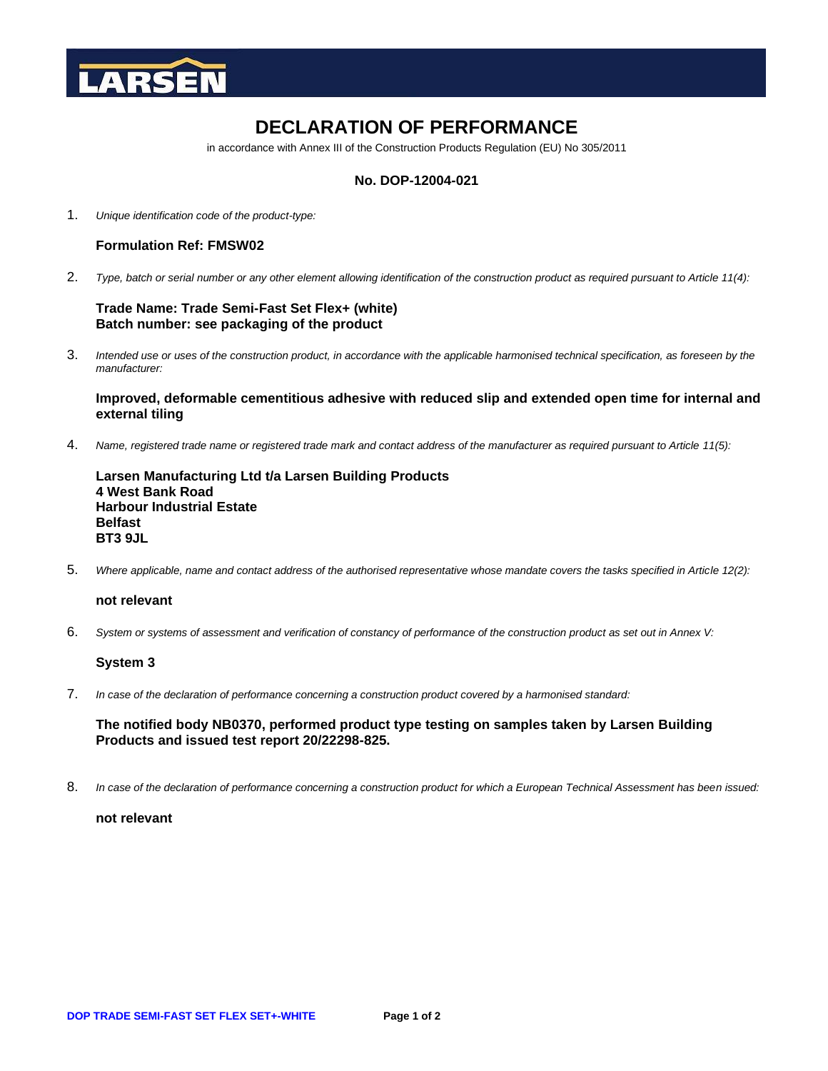

# **DECLARATION OF PERFORMANCE**

in accordance with Annex III of the Construction Products Regulation (EU) No 305/2011

## **No. DOP-12004-021**

1. *Unique identification code of the product-type:*

## **Formulation Ref: FMSW02**

2. *Type, batch or serial number or any other element allowing identification of the construction product as required pursuant to Article 11(4):*

### **Trade Name: Trade Semi-Fast Set Flex+ (white) Batch number: see packaging of the product**

3. *Intended use or uses of the construction product, in accordance with the applicable harmonised technical specification, as foreseen by the manufacturer:*

## **Improved, deformable cementitious adhesive with reduced slip and extended open time for internal and external tiling**

4. *Name, registered trade name or registered trade mark and contact address of the manufacturer as required pursuant to Article 11(5):*

**Larsen Manufacturing Ltd t/a Larsen Building Products 4 West Bank Road Harbour Industrial Estate Belfast BT3 9JL**

5. *Where applicable, name and contact address of the authorised representative whose mandate covers the tasks specified in Article 12(2):*

### **not relevant**

6. *System or systems of assessment and verification of constancy of performance of the construction product as set out in Annex V:*

# **System 3**

7. *In case of the declaration of performance concerning a construction product covered by a harmonised standard:*

**The notified body NB0370, performed product type testing on samples taken by Larsen Building Products and issued test report 20/22298-825.**

8. *In case of the declaration of performance concerning a construction product for which a European Technical Assessment has been issued:*

**not relevant**